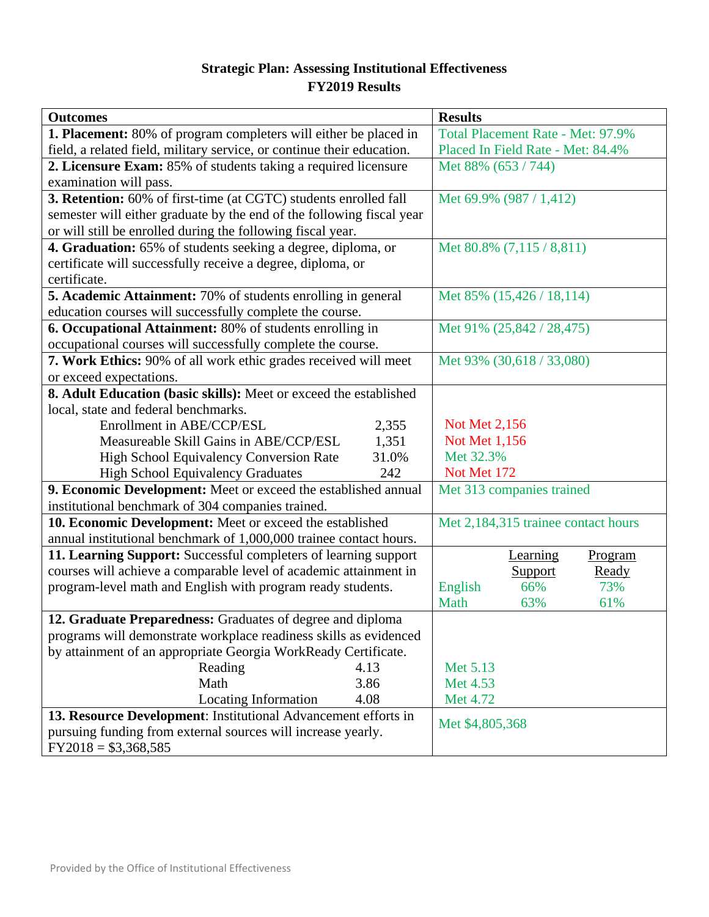### **Strategic Plan: Assessing Institutional Effectiveness FY2019 Results**

| <b>Outcomes</b>                                                         | <b>Results</b>                      |
|-------------------------------------------------------------------------|-------------------------------------|
| <b>1. Placement:</b> 80% of program completers will either be placed in | Total Placement Rate - Met: 97.9%   |
| field, a related field, military service, or continue their education.  | Placed In Field Rate - Met: 84.4%   |
| 2. Licensure Exam: 85% of students taking a required licensure          | Met 88% (653 / 744)                 |
| examination will pass.                                                  |                                     |
| 3. Retention: 60% of first-time (at CGTC) students enrolled fall        | Met 69.9% $(987 / 1,412)$           |
| semester will either graduate by the end of the following fiscal year   |                                     |
| or will still be enrolled during the following fiscal year.             |                                     |
| 4. Graduation: 65% of students seeking a degree, diploma, or            | Met 80.8% (7,115 / 8,811)           |
| certificate will successfully receive a degree, diploma, or             |                                     |
| certificate.                                                            |                                     |
| 5. Academic Attainment: 70% of students enrolling in general            | Met 85% (15,426 / 18,114)           |
| education courses will successfully complete the course.                |                                     |
| 6. Occupational Attainment: 80% of students enrolling in                | Met 91% (25,842 / 28,475)           |
| occupational courses will successfully complete the course.             |                                     |
| 7. Work Ethics: 90% of all work ethic grades received will meet         | Met 93% (30,618 / 33,080)           |
| or exceed expectations.                                                 |                                     |
| 8. Adult Education (basic skills): Meet or exceed the established       |                                     |
| local, state and federal benchmarks.                                    |                                     |
| Enrollment in ABE/CCP/ESL<br>2,355                                      | Not Met 2,156                       |
| Measureable Skill Gains in ABE/CCP/ESL<br>1,351                         | Not Met 1,156                       |
| 31.0%<br><b>High School Equivalency Conversion Rate</b>                 | Met 32.3%                           |
| High School Equivalency Graduates<br>242                                | Not Met 172                         |
| 9. Economic Development: Meet or exceed the established annual          | Met 313 companies trained           |
| institutional benchmark of 304 companies trained.                       |                                     |
| 10. Economic Development: Meet or exceed the established                | Met 2,184,315 trainee contact hours |
| annual institutional benchmark of 1,000,000 trainee contact hours.      |                                     |
| 11. Learning Support: Successful completers of learning support         | Program<br>Learning                 |
| courses will achieve a comparable level of academic attainment in       | Ready<br><b>Support</b>             |
| program-level math and English with program ready students.             | 73%<br>English<br>66%               |
|                                                                         | 61%<br>Math<br>63%                  |
| 12. Graduate Preparedness: Graduates of degree and diploma              |                                     |
| programs will demonstrate workplace readiness skills as evidenced       |                                     |
| by attainment of an appropriate Georgia WorkReady Certificate.          |                                     |
| Reading<br>4.13                                                         | Met 5.13                            |
| 3.86<br>Math                                                            | Met 4.53                            |
| Locating Information<br>4.08                                            | Met 4.72                            |
| 13. Resource Development: Institutional Advancement efforts in          | Met \$4,805,368                     |
| pursuing funding from external sources will increase yearly.            |                                     |
| $FY2018 = $3,368,585$                                                   |                                     |